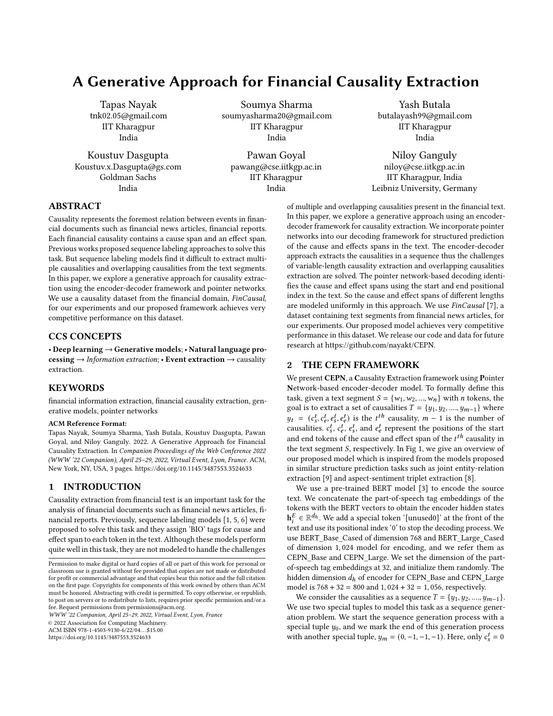# A Generative Approach for Financial Causality Extraction

Tapas Nayak tnk02.05@gmail.com IIT Kharagpur India

Koustuv Dasgupta Koustuv.x.Dasgupta@gs.com Goldman Sachs India

Soumya Sharma soumyasharma20@gmail.com IIT Kharagpur India

Pawan Goyal pawang@cse.iitkgp.ac.in IIT Kharagpur India

Yash Butala butalayash99@gmail.com IIT Kharagpur India

Niloy Ganguly niloy@cse.iitkgp.ac.in IIT Kharagpur, India Leibniz University, Germany

of multiple and overlapping causalities present in the financial text. In this paper, we explore a generative approach using an encoderdecoder framework for causality extraction. We incorporate pointer networks into our decoding framework for structured prediction of the cause and effects spans in the text. The encoder-decoder approach extracts the causalities in a sequence thus the challenges of variable-length causality extraction and overlapping causalities extraction are solved. The pointer network-based decoding identifies the cause and effect spans using the start and end positional index in the text. So the cause and effect spans of different lengths are modeled uniformly in this approach. We use *FinCausal* [\[7\]](#page-2-4), a dataset containing text segments from financial news articles, for our experiments. Our proposed model achieves very competitive performance in this dataset. We release our code and data for future

# ABSTRACT

Causality represents the foremost relation between events in financial documents such as financial news articles, financial reports. Each financial causality contains a cause span and an effect span. Previous works proposed sequence labeling approaches to solve this task. But sequence labeling models find it difficult to extract multiple causalities and overlapping causalities from the text segments. In this paper, we explore a generative approach for causality extraction using the encoder-decoder framework and pointer networks. We use a causality dataset from the financial domain, FinCausal, for our experiments and our proposed framework achieves very competitive performance on this dataset.

## CCS CONCEPTS

• Deep learning → Generative models; • Natural language processing  $\rightarrow$  Information extraction; • Event extraction  $\rightarrow$  causality extraction.

# **KEYWORDS**

financial information extraction, financial causality extraction, generative models, pointer networks

#### ACM Reference Format:

Tapas Nayak, Soumya Sharma, Yash Butala, Koustuv Dasgupta, Pawan Goyal, and Niloy Ganguly. 2022. A Generative Approach for Financial Causality Extraction. In Companion Proceedings of the Web Conference 2022 (WWW '22 Companion), April 25–29, 2022, Virtual Event, Lyon, France. ACM, New York, NY, USA, [3](#page-2-0) pages.<https://doi.org/10.1145/3487553.3524633>

# 1 INTRODUCTION

Causality extraction from financial text is an important task for the analysis of financial documents such as financial news articles, financial reports. Previously, sequence labeling models [\[1,](#page-2-1) [5,](#page-2-2) [6\]](#page-2-3) were proposed to solve this task and they assign 'BIO' tags for cause and effect span to each token in the text. Although these models perform quite well in this task, they are not modeled to handle the challenges

WWW '22 Companion, April 25–29, 2022, Virtual Event, Lyon, France

© 2022 Association for Computing Machinery.

ACM ISBN 978-1-4503-9130-6/22/04. . . \$15.00

<https://doi.org/10.1145/3487553.3524633>

We present CEPN, a Causality Extraction framework using Pointer Network-based encoder-decoder model. To formally define this task, given a text segment  $S = \{w_1, w_2, ..., w_n\}$  with *n* tokens, the goal is to extract a set of causalities  $T = \{y_1, y_2, ..., y_{m-1}\}$  where  $y_t = (c_s^t, c_e^t, e_s^t, e_e^t)$  is the  $t^{th}$  causality,  $m-1$  is the number of causalities.  $c_s^t$ ,  $c_e^t$ ,  $e_s^t$ , and  $e_e^t$  represent the positions of the start and end tokens of the cause and effect span of the  $t^{th}$  causality in the text segment  $S$ , respectively. In Fig [1,](#page-1-0) we give an overview of our proposed model which is inspired from the models proposed in similar structure prediction tasks such as joint entity-relation extraction [\[9\]](#page-2-5) and aspect-sentiment triplet extraction [\[8\]](#page-2-6).

research at [https://github.com/nayakt/CEPN.](https://github.com/nayakt/CEPN)

2 THE CEPN FRAMEWORK

We use a pre-trained BERT model [\[3\]](#page-2-7) to encode the source text. We concatenate the part-of-speech tag embeddings of the tokens with the BERT vectors to obtain the encoder hidden states  $\mathbf{h}_i^E \in \mathbb{R}^{d_h}$ . We add a special token '[unused0]' at the front of the text and use its positional index '0' to stop the decoding process. We use BERT\_Base\_Cased of dimension 768 and BERT\_Large\_Cased of dimension 1, 024 model for encoding, and we refer them as CEPN\_Base and CEPN\_Large. We set the dimension of the partof-speech tag embeddings at 32, and initialize them randomly. The hidden dimension  $d_h$  of encoder for CEPN\_Base and CEPN\_Large model is  $768 + 32 = 800$  and  $1,024 + 32 = 1,056$ , respectively.

We consider the causalities as a sequence  $T = \{y_1, y_2, ..., y_{m-1}\}.$ We use two special tuples to model this task as a sequence generation problem. We start the sequence generation process with a special tuple  $y_0$ , and we mark the end of this generation process with another special tuple,  $y_m = (0, -1, -1, -1)$ . Here, only  $c_s^t = 0$ 

Permission to make digital or hard copies of all or part of this work for personal or classroom use is granted without fee provided that copies are not made or distributed for profit or commercial advantage and that copies bear this notice and the full citation on the first page. Copyrights for components of this work owned by others than ACM must be honored. Abstracting with credit is permitted. To copy otherwise, or republish, to post on servers or to redistribute to lists, requires prior specific permission and/or a fee. Request permissions from permissions@acm.org.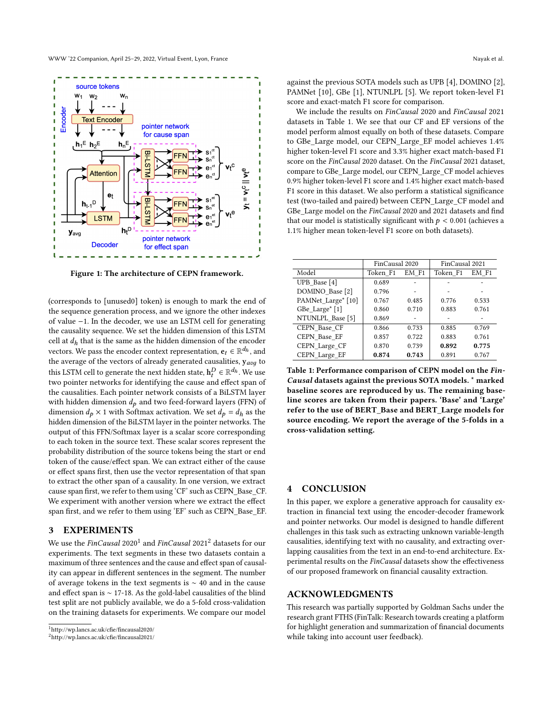<span id="page-1-0"></span>

Figure 1: The architecture of CEPN framework.

(corresponds to [unused0] token) is enough to mark the end of the sequence generation process, and we ignore the other indexes of value −1. In the decoder, we use an LSTM cell for generating the causality sequence. We set the hidden dimension of this LSTM cell at  $d_h$  that is the same as the hidden dimension of the encoder vectors. We pass the encoder context representation,  $\mathbf{e}_t \in \mathbb{R}^{d_h}$ , and the average of the vectors of already generated causalities,  $y_{avg}$  to this LSTM cell to generate the next hidden state,  $\mathbf{h}_t^D \in \mathbb{R}^{d_h}$  . We use two pointer networks for identifying the cause and effect span of the causalities. Each pointer network consists of a BiLSTM layer with hidden dimension  $d_p$  and two feed-forward layers (FFN) of dimension  $d_p \times 1$  with Softmax activation. We set  $d_p = d_h$  as the hidden dimension of the BiLSTM layer in the pointer networks. The output of this FFN/Softmax layer is a scalar score corresponding to each token in the source text. These scalar scores represent the probability distribution of the source tokens being the start or end token of the cause/effect span. We can extract either of the cause or effect spans first, then use the vector representation of that span to extract the other span of a causality. In one version, we extract cause span first, we refer to them using 'CF' such as CEPN\_Base\_CF. We experiment with another version where we extract the effect span first, and we refer to them using 'EF' such as CEPN\_Base\_EF.

### 3 EXPERIMENTS

We use the  $\emph{FinCausal 2020}^1$  $\emph{FinCausal 2020}^1$  and  $\emph{FinCausal 2021}^2$  $\emph{FinCausal 2021}^2$  $\emph{FinCausal 2021}^2$  datasets for our experiments. The text segments in these two datasets contain a maximum of three sentences and the cause and effect span of causality can appear in different sentences in the segment. The number of average tokens in the text segments is ∼ 40 and in the cause and effect span is ∼ 17-18. As the gold-label causalities of the blind test split are not publicly available, we do a 5-fold cross-validation on the training datasets for experiments. We compare our model

<span id="page-1-1"></span>

<span id="page-1-2"></span><sup>2</sup>http://wp.lancs.ac.uk/cfie/fincausal2021/

against the previous SOTA models such as UPB [\[4\]](#page-2-8), DOMINO [\[2\]](#page-2-9), PAMNet [\[10\]](#page-2-10), GBe [\[1\]](#page-2-1), NTUNLPL [\[5\]](#page-2-2). We report token-level F1 score and exact-match F1 score for comparison.

We include the results on FinCausal 2020 and FinCausal 2021 datasets in Table [1.](#page-1-3) We see that our CF and EF versions of the model perform almost equally on both of these datasets. Compare to GBe\_Large model, our CEPN\_Large\_EF model achieves 1.4% higher token-level F1 score and 3.3% higher exact match-based F1 score on the FinCausal 2020 dataset. On the FinCausal 2021 dataset, compare to GBe\_Large model, our CEPN\_Large\_CF model achieves 0.9% higher token-level F1 score and 1.4% higher exact match-based F1 score in this dataset. We also perform a statistical significance test (two-tailed and paired) between CEPN\_Large\_CF model and GBe Large model on the FinCausal 2020 and 2021 datasets and find that our model is statistically significant with  $p < 0.001$  (achieves a 1.1% higher mean token-level F1 score on both datasets).

<span id="page-1-3"></span>

|                    | FinCausal 2020 |       | FinCausal 2021 |       |
|--------------------|----------------|-------|----------------|-------|
| Model              | Token F1       | EM F1 | Token F1       | EM F1 |
| UPB Base [4]       | 0.689          |       |                |       |
| DOMINO Base [2]    | 0.796          |       |                |       |
| PAMNet_Large* [10] | 0.767          | 0.485 | 0.776          | 0.533 |
| GBe Large* [1]     | 0.860          | 0.710 | 0.883          | 0.761 |
| NTUNLPL Base [5]   | 0.869          |       |                |       |
| CEPN Base CF       | 0.866          | 0.733 | 0.885          | 0.769 |
| CEPN Base EF       | 0.857          | 0.722 | 0.883          | 0.761 |
| CEPN Large CF      | 0.870          | 0.739 | 0.892          | 0.775 |
| CEPN Large EF      | 0.874          | 0.743 | 0.891          | 0.767 |

Table 1: Performance comparison of CEPN model on the Fin-Causal datasets against the previous SOTA models. \* marked baseline scores are reproduced by us. The remaining baseline scores are taken from their papers. 'Base' and 'Large' refer to the use of BERT\_Base and BERT\_Large models for source encoding. We report the average of the 5-folds in a cross-validation setting.

#### **CONCLUSION**

In this paper, we explore a generative approach for causality extraction in financial text using the encoder-decoder framework and pointer networks. Our model is designed to handle different challenges in this task such as extracting unknown variable-length causalities, identifying text with no causality, and extracting overlapping causalities from the text in an end-to-end architecture. Experimental results on the FinCausal datasets show the effectiveness of our proposed framework on financial causality extraction.

#### ACKNOWLEDGMENTS

This research was partially supported by Goldman Sachs under the research grant FTHS (FinTalk: Research towards creating a platform for highlight generation and summarization of financial documents while taking into account user feedback).